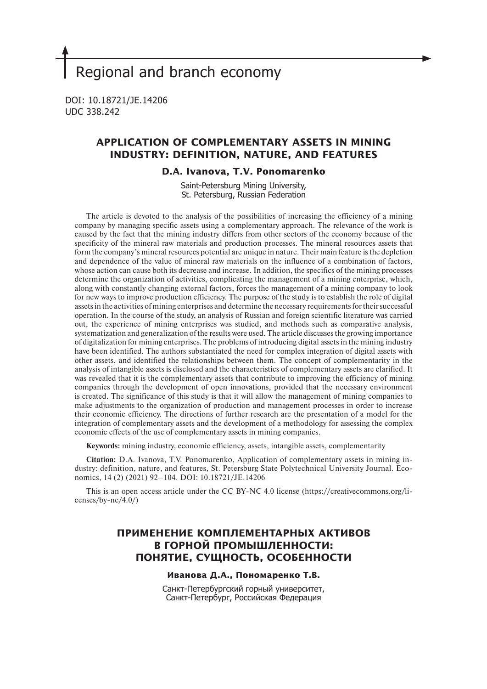# Regional and branch economy

DOI: 10.18721/JE.14206 UDC 338.242

# **APPLICATION OF COMPLEMENTARY ASSETS IN MINING INDUSTRY: DEFINITION, NATURE, AND FEATURES**

## **D.A. Ivanova, T.V. Ponomarenko**

Saint-Petersburg Mining University, St. Petersburg, Russian Federation

The article is devoted to the analysis of the possibilities of increasing the efficiency of a mining company by managing specific assets using a complementary approach. The relevance of the work is caused by the fact that the mining industry differs from other sectors of the economy because of the specificity of the mineral raw materials and production processes. The mineral resources assets that form the company's mineral resources potential are unique in nature. Their main feature is the depletion and dependence of the value of mineral raw materials on the influence of a combination of factors, whose action can cause both its decrease and increase. In addition, the specifics of the mining processes determine the organization of activities, complicating the management of a mining enterprise, which, along with constantly changing external factors, forces the management of a mining company to look for new ways to improve production efficiency. The purpose of the study is to establish the role of digital assets in the activities of mining enterprises and determine the necessary requirements for their successful operation. In the course of the study, an analysis of Russian and foreign scientific literature was carried out, the experience of mining enterprises was studied, and methods such as comparative analysis, systematization and generalization of the results were used. The article discusses the growing importance of digitalization for mining enterprises. The problems of introducing digital assets in the mining industry have been identified. The authors substantiated the need for complex integration of digital assets with other assets, and identified the relationships between them. The concept of complementarity in the analysis of intangible assets is disclosed and the characteristics of complementary assets are clarified. It was revealed that it is the complementary assets that contribute to improving the efficiency of mining companies through the development of open innovations, provided that the necessary environment is created. The significance of this study is that it will allow the management of mining companies to make adjustments to the organization of production and management processes in order to increase their economic efficiency. The directions of further research are the presentation of a model for the integration of complementary assets and the development of a methodology for assessing the complex economic effects of the use of complementary assets in mining companies.

**Keywords:** mining industry, economic efficiency, assets, intangible assets, complementarity

**Citation:** D.A. Ivanova, T.V. Ponomarenko, Application of complementary assets in mining industry: definition, nature, and features, St. Petersburg State Polytechnical University Journal. Economics, 14 (2) (2021) 92–104. DOI: 10.18721/JE.14206

This is an open access article under the CC BY-NC 4.0 license (https://creativecommons.org/licenses/by-nc/4.0/)

# **ПРИМЕНЕНИЕ КОМПЛЕМЕНТАРНЫХ АКТИВОВ В ГОРНОЙ ПРОМЫШЛЕННОСТИ: ПОНЯТИЕ, СУЩНОСТЬ, ОСОБЕННОСТИ**

## **Иванова Д.А., Пономаренко Т.В.**

Санкт-Петербургский горный университет, Санкт-Петербург, Российская Федерация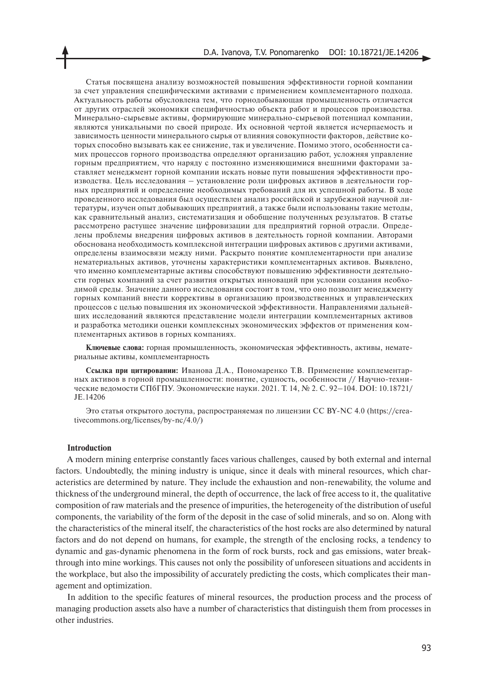Статья посвящена анализу возможностей повышения эффективности горной компании за счет управления специфическими активами с применением комплементарного подхода. Актуальность работы обусловлена тем, что горнодобывающая промышленность отличается от других отраслей экономики специфичностью объекта работ и процессов производства. Минерально-сырьевые активы, формирующие минерально-сырьевой потенциал компании, являются уникальными по своей природе. Их основной чертой является исчерпаемость и зависимость ценности минерального сырья от влияния совокупности факторов, действие которых способно вызывать как ее снижение, так и увеличение. Помимо этого, особенности самих процессов горного производства определяют организацию работ, усложняя управление горным предприятием, что наряду с постоянно изменяющимися внешними факторами заставляет менеджмент горной компании искать новые пути повышения эффективности производства. Цель исследования – установление роли цифровых активов в деятельности горных предприятий и определение необходимых требований для их успешной работы. В ходе проведенного исследования был осуществлен анализ российской и зарубежной научной литературы, изучен опыт добывающих предприятий, а также были использованы такие методы, как сравнительный анализ, систематизация и обобщение полученных результатов. В статье рассмотрено растущее значение цифровизации для предприятий горной отрасли. Определены проблемы внедрения цифровых активов в деятельность горной компании. Авторами обоснована необходимость комплексной интеграции цифровых активов с другими активами, определены взаимосвязи между ними. Раскрыто понятие комплементарности при анализе нематериальных активов, уточнены характеристики комплементарных активов. Выявлено, что именно комплементарные активы способствуют повышению эффективности деятельности горных компаний за счет развития открытых инноваций при условии создания необходимой среды. Значение данного исследования состоит в том, что оно позволит менеджменту горных компаний внести коррективы в организацию производственных и управленческих процессов с целью повышения их экономической эффективности. Направлениями дальнейших исследований являются представление модели интеграции комплементарных активов и разработка методики оценки комплексных экономических эффектов от применения комплементарных активов в горных компаниях.

**Ключевые слова:** горная промышленность, экономическая эффективность, активы, нематериальные активы, комплементарность

**Ссылка при цитировании:** Иванова Д.А., Пономаренко Т.В. Применение комплементарных активов в горной промышленности: понятие, сущность, особенности // Научно-технические ведомости СПбГПУ. Экономические науки. 2021. Т. 14, № 2. С. 92–104. DOI: 10.18721/ JE.14206

Это статья открытого доступа, распространяемая по лицензии CC BY-NC 4.0 (https://creativecommons.org/licenses/by-nc/4.0/)

## **Introduction**

A modern mining enterprise constantly faces various challenges, caused by both external and internal factors. Undoubtedly, the mining industry is unique, since it deals with mineral resources, which characteristics are determined by nature. They include the exhaustion and non-renewability, the volume and thickness of the underground mineral, the depth of occurrence, the lack of free access to it, the qualitative composition of raw materials and the presence of impurities, the heterogeneity of the distribution of useful components, the variability of the form of the deposit in the case of solid minerals, and so on. Along with the characteristics of the mineral itself, the characteristics of the host rocks are also determined by natural factors and do not depend on humans, for example, the strength of the enclosing rocks, a tendency to dynamic and gas-dynamic phenomena in the form of rock bursts, rock and gas emissions, water breakthrough into mine workings. This causes not only the possibility of unforeseen situations and accidents in the workplace, but also the impossibility of accurately predicting the costs, which complicates their management and optimization.

In addition to the specific features of mineral resources, the production process and the process of managing production assets also have a number of characteristics that distinguish them from processes in other industries.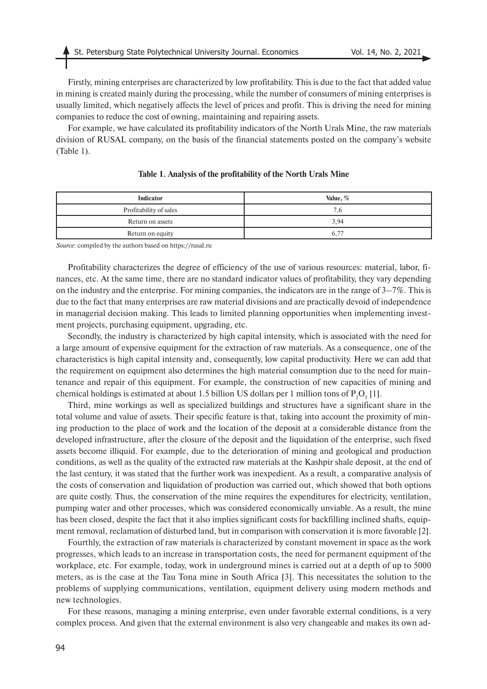Firstly, mining enterprises are characterized by low profitability. This is due to the fact that added value in mining is created mainly during the processing, while the number of consumers of mining enterprises is usually limited, which negatively affects the level of prices and profit. This is driving the need for mining companies to reduce the cost of owning, maintaining and repairing assets.

For example, we have calculated its profitability indicators of the North Urals Mine, the raw materials division of RUSAL company, on the basis of the financial statements posted on the company's website (Table 1).

| Indicator              | Value, % |
|------------------------|----------|
| Profitability of sales | 7.6      |
| Return on assets       | 3.94     |
| Return on equity       | 6,77     |

# **Table 1. Analysis of the profitability of the North Urals Mine**

*Source*: compiled by the authors based on https://rusal.ru

Profitability characterizes the degree of efficiency of the use of various resources: material, labor, finances, etc. At the same time, there are no standard indicator values of profitability, they vary depending on the industry and the enterprise. For mining companies, the indicators are in the range of 3–7%. This is due to the fact that many enterprises are raw material divisions and are practically devoid of independence in managerial decision making. This leads to limited planning opportunities when implementing investment projects, purchasing equipment, upgrading, etc.

Secondly, the industry is characterized by high capital intensity, which is associated with the need for a large amount of expensive equipment for the extraction of raw materials. As a consequence, one of the characteristics is high capital intensity and, consequently, low capital productivity. Here we can add that the requirement on equipment also determines the high material consumption due to the need for maintenance and repair of this equipment. For example, the construction of new capacities of mining and chemical holdings is estimated at about 1.5 billion US dollars per 1 million tons of  $P_2O_5[1]$ .

Third, mine workings as well as specialized buildings and structures have a significant share in the total volume and value of assets. Their specific feature is that, taking into account the proximity of mining production to the place of work and the location of the deposit at a considerable distance from the developed infrastructure, after the closure of the deposit and the liquidation of the enterprise, such fixed assets become illiquid. For example, due to the deterioration of mining and geological and production conditions, as well as the quality of the extracted raw materials at the Kashpir shale deposit, at the end of the last century, it was stated that the further work was inexpedient. As a result, a comparative analysis of the costs of conservation and liquidation of production was carried out, which showed that both options are quite costly. Thus, the conservation of the mine requires the expenditures for electricity, ventilation, pumping water and other processes, which was considered economically unviable. As a result, the mine has been closed, despite the fact that it also implies significant costs for backfilling inclined shafts, equipment removal, reclamation of disturbed land, but in comparison with conservation it is more favorable [2].

Fourthly, the extraction of raw materials is characterized by constant movement in space as the work progresses, which leads to an increase in transportation costs, the need for permanent equipment of the workplace, etc. For example, today, work in underground mines is carried out at a depth of up to 5000 meters, as is the case at the Tau Tona mine in South Africa [3]. This necessitates the solution to the problems of supplying communications, ventilation, equipment delivery using modern methods and new technologies.

For these reasons, managing a mining enterprise, even under favorable external conditions, is a very complex process. And given that the external environment is also very changeable and makes its own ad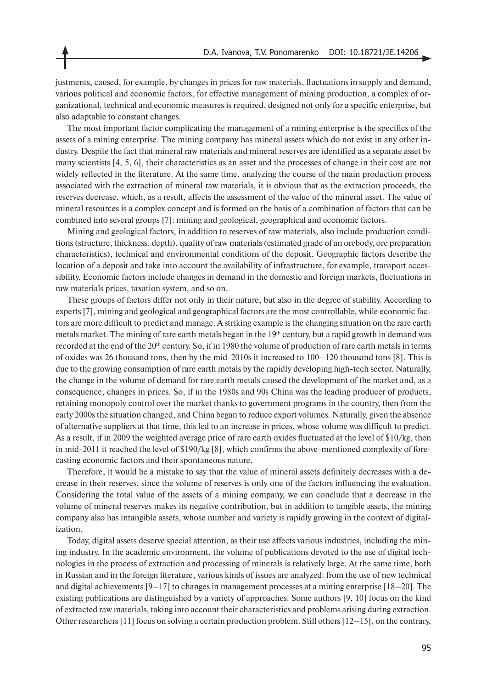justments, caused, for example, by changes in prices for raw materials, fluctuations in supply and demand, various political and economic factors, for effective management of mining production, a complex of organizational, technical and economic measures is required, designed not only for a specific enterprise, but also adaptable to constant changes.

The most important factor complicating the management of a mining enterprise is the specifics of the assets of a mining enterprise. The mining company has mineral assets which do not exist in any other industry. Despite the fact that mineral raw materials and mineral reserves are identified as a separate asset by many scientists [4, 5, 6], their characteristics as an asset and the processes of change in their cost are not widely reflected in the literature. At the same time, analyzing the course of the main production process associated with the extraction of mineral raw materials, it is obvious that as the extraction proceeds, the reserves decrease, which, as a result, affects the assessment of the value of the mineral asset. The value of mineral resources is a complex concept and is formed on the basis of a combination of factors that can be combined into several groups [7]: mining and geological, geographical and economic factors.

Mining and geological factors, in addition to reserves of raw materials, also include production conditions (structure, thickness, depth), quality of raw materials (estimated grade of an orebody, ore preparation characteristics), technical and environmental conditions of the deposit. Geographic factors describe the location of a deposit and take into account the availability of infrastructure, for example, transport accessibility. Economic factors include changes in demand in the domestic and foreign markets, fluctuations in raw materials prices, taxation system, and so on.

These groups of factors differ not only in their nature, but also in the degree of stability. According to experts [7], mining and geological and geographical factors are the most controllable, while economic factors are more difficult to predict and manage. A striking example is the changing situation on the rare earth metals market. The mining of rare earth metals began in the 19<sup>th</sup> century, but a rapid growth in demand was recorded at the end of the 20<sup>th</sup> century. So, if in 1980 the volume of production of rare earth metals in terms of oxides was 26 thousand tons, then by the mid-2010s it increased to 100–120 thousand tons [8]. This is due to the growing consumption of rare earth metals by the rapidly developing high-tech sector. Naturally, the change in the volume of demand for rare earth metals caused the development of the market and, as a consequence, changes in prices. So, if in the 1980s and 90s China was the leading producer of products, retaining monopoly control over the market thanks to government programs in the country, then from the early 2000s the situation changed, and China began to reduce export volumes. Naturally, given the absence of alternative suppliers at that time, this led to an increase in prices, whose volume was difficult to predict. As a result, if in 2009 the weighted average price of rare earth oxides fluctuated at the level of \$10/kg, then in mid-2011 it reached the level of \$190/kg [8], which confirms the above-mentioned complexity of forecasting economic factors and their spontaneous nature.

Therefore, it would be a mistake to say that the value of mineral assets definitely decreases with a decrease in their reserves, since the volume of reserves is only one of the factors influencing the evaluation. Considering the total value of the assets of a mining company, we can conclude that a decrease in the volume of mineral reserves makes its negative contribution, but in addition to tangible assets, the mining company also has intangible assets, whose number and variety is rapidly growing in the context of digitalization.

Today, digital assets deserve special attention, as their use affects various industries, including the mining industry. In the academic environment, the volume of publications devoted to the use of digital technologies in the process of extraction and processing of minerals is relatively large. At the same time, both in Russian and in the foreign literature, various kinds of issues are analyzed: from the use of new technical and digital achievements [9–17] to changes in management processes at a mining enterprise [18–20]. The existing publications are distinguished by a variety of approaches. Some authors [9, 10] focus on the kind of extracted raw materials, taking into account their characteristics and problems arising during extraction. Other researchers [11] focus on solving a certain production problem. Still others  $[12-15]$ , on the contrary,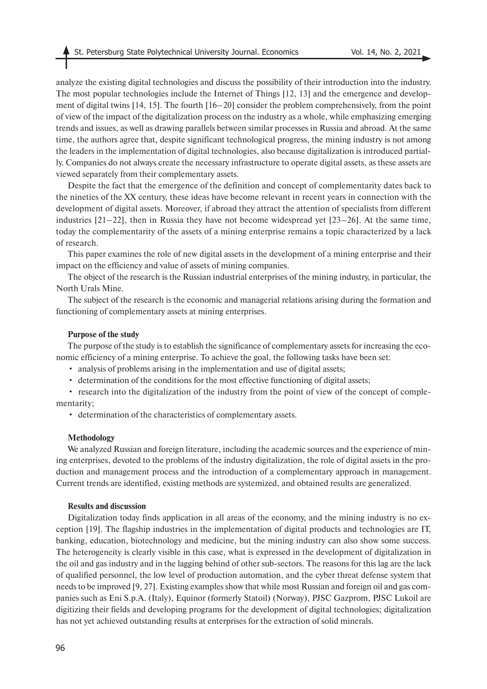analyze the existing digital technologies and discuss the possibility of their introduction into the industry. The most popular technologies include the Internet of Things [12, 13] and the emergence and development of digital twins [14, 15]. The fourth [16–20] consider the problem comprehensively, from the point of view of the impact of the digitalization process on the industry as a whole, while emphasizing emerging trends and issues, as well as drawing parallels between similar processes in Russia and abroad. At the same time, the authors agree that, despite significant technological progress, the mining industry is not among the leaders in the implementation of digital technologies, also because digitalization is introduced partially. Companies do not always create the necessary infrastructure to operate digital assets, as these assets are viewed separately from their complementary assets.

Despite the fact that the emergence of the definition and concept of complementarity dates back to the nineties of the XX century, these ideas have become relevant in recent years in connection with the development of digital assets. Moreover, if abroad they attract the attention of specialists from different industries  $[21-22]$ , then in Russia they have not become widespread yet  $[23-26]$ . At the same time, today the complementarity of the assets of a mining enterprise remains a topic characterized by a lack of research.

This paper examines the role of new digital assets in the development of a mining enterprise and their impact on the efficiency and value of assets of mining companies.

The object of the research is the Russian industrial enterprises of the mining industry, in particular, the North Urals Mine.

The subject of the research is the economic and managerial relations arising during the formation and functioning of complementary assets at mining enterprises.

#### **Purpose of the study**

The purpose of the study is to establish the significance of complementary assets for increasing the economic efficiency of a mining enterprise. To achieve the goal, the following tasks have been set:

- analysis of problems arising in the implementation and use of digital assets;
- determination of the conditions for the most effective functioning of digital assets;

• research into the digitalization of the industry from the point of view of the concept of complementarity;

• determination of the characteristics of complementary assets.

#### **Methodology**

We analyzed Russian and foreign literature, including the academic sources and the experience of mining enterprises, devoted to the problems of the industry digitalization, the role of digital assets in the production and management process and the introduction of a complementary approach in management. Current trends are identified, existing methods are systemized, and obtained results are generalized.

# **Results and discussion**

Digitalization today finds application in all areas of the economy, and the mining industry is no exception [19]. The flagship industries in the implementation of digital products and technologies are IT, banking, education, biotechnology and medicine, but the mining industry can also show some success. The heterogeneity is clearly visible in this case, what is expressed in the development of digitalization in the oil and gas industry and in the lagging behind of other sub-sectors. The reasons for this lag are the lack of qualified personnel, the low level of production automation, and the cyber threat defense system that needs to be improved [9, 27]. Existing examples show that while most Russian and foreign oil and gas companies such as Eni S.p.A. (Italy), Equinor (formerly Statoil) (Norway), PJSC Gazprom, PJSC Lukoil are digitizing their fields and developing programs for the development of digital technologies; digitalization has not yet achieved outstanding results at enterprises for the extraction of solid minerals.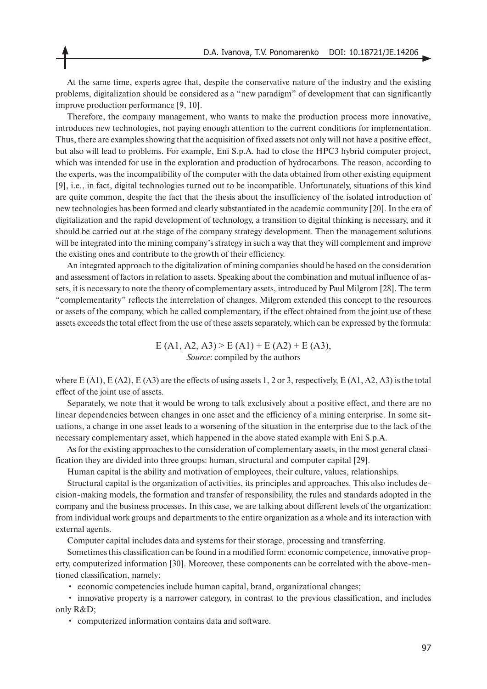At the same time, experts agree that, despite the conservative nature of the industry and the existing problems, digitalization should be considered as a "new paradigm" of development that can significantly improve production performance [9, 10].

Therefore, the company management, who wants to make the production process more innovative, introduces new technologies, not paying enough attention to the current conditions for implementation. Thus, there are examples showing that the acquisition of fixed assets not only will not have a positive effect, but also will lead to problems. For example, Eni S.p.A. had to close the HPC3 hybrid computer project, which was intended for use in the exploration and production of hydrocarbons. The reason, according to the experts, was the incompatibility of the computer with the data obtained from other existing equipment [9], i.e., in fact, digital technologies turned out to be incompatible. Unfortunately, situations of this kind are quite common, despite the fact that the thesis about the insufficiency of the isolated introduction of new technologies has been formed and clearly substantiated in the academic community [20]. In the era of digitalization and the rapid development of technology, a transition to digital thinking is necessary, and it should be carried out at the stage of the company strategy development. Then the management solutions will be integrated into the mining company's strategy in such a way that they will complement and improve the existing ones and contribute to the growth of their efficiency.

An integrated approach to the digitalization of mining companies should be based on the consideration and assessment of factors in relation to assets. Speaking about the combination and mutual influence of assets, it is necessary to note the theory of complementary assets, introduced by Paul Milgrom [28]. The term "complementarity" reflects the interrelation of changes. Milgrom extended this concept to the resources or assets of the company, which he called complementary, if the effect obtained from the joint use of these assets exceeds the total effect from the use of these assets separately, which can be expressed by the formula:

> $E (A1, A2, A3) > E (A1) + E (A2) + E (A3),$ *Source*: compiled by the authors

where  $E (A1)$ ,  $E (A2)$ ,  $E (A3)$  are the effects of using assets 1, 2 or 3, respectively,  $E (A1, A2, A3)$  is the total effect of the joint use of assets.

Separately, we note that it would be wrong to talk exclusively about a positive effect, and there are no linear dependencies between changes in one asset and the efficiency of a mining enterprise. In some situations, a change in one asset leads to a worsening of the situation in the enterprise due to the lack of the necessary complementary asset, which happened in the above stated example with Eni S.p.A.

As for the existing approaches to the consideration of complementary assets, in the most general classification they are divided into three groups: human, structural and computer capital [29].

Human capital is the ability and motivation of employees, their culture, values, relationships.

Structural capital is the organization of activities, its principles and approaches. This also includes decision-making models, the formation and transfer of responsibility, the rules and standards adopted in the company and the business processes. In this case, we are talking about different levels of the organization: from individual work groups and departments to the entire organization as a whole and its interaction with external agents.

Computer capital includes data and systems for their storage, processing and transferring.

Sometimes this classification can be found in a modified form: economic competence, innovative property, computerized information [30]. Moreover, these components can be correlated with the above-mentioned classification, namely:

• economic competencies include human capital, brand, organizational changes;

• innovative property is a narrower category, in contrast to the previous classification, and includes only R&D;

• computerized information contains data and software.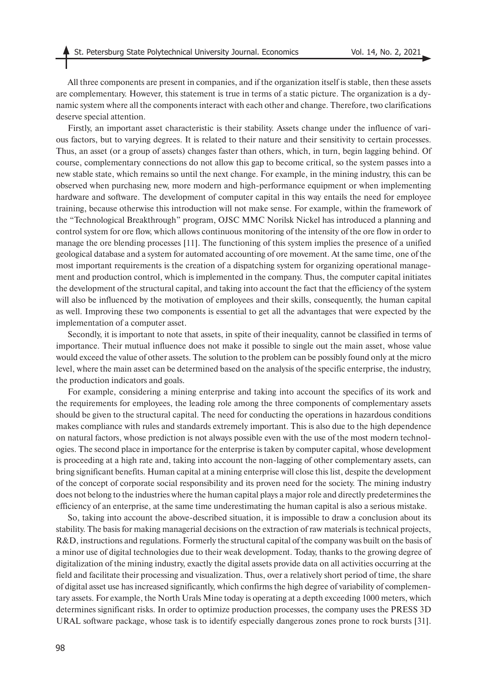All three components are present in companies, and if the organization itself is stable, then these assets are complementary. However, this statement is true in terms of a static picture. The organization is a dynamic system where all the components interact with each other and change. Therefore, two clarifications deserve special attention.

Firstly, an important asset characteristic is their stability. Assets change under the influence of various factors, but to varying degrees. It is related to their nature and their sensitivity to certain processes. Thus, an asset (or a group of assets) changes faster than others, which, in turn, begin lagging behind. Of course, complementary connections do not allow this gap to become critical, so the system passes into a new stable state, which remains so until the next change. For example, in the mining industry, this can be observed when purchasing new, more modern and high-performance equipment or when implementing hardware and software. The development of computer capital in this way entails the need for employee training, because otherwise this introduction will not make sense. For example, within the framework of the "Technological Breakthrough" program, OJSC MMC Norilsk Nickel has introduced a planning and control system for ore flow, which allows continuous monitoring of the intensity of the ore flow in order to manage the ore blending processes [11]. The functioning of this system implies the presence of a unified geological database and a system for automated accounting of ore movement. At the same time, one of the most important requirements is the creation of a dispatching system for organizing operational management and production control, which is implemented in the company. Thus, the computer capital initiates the development of the structural capital, and taking into account the fact that the efficiency of the system will also be influenced by the motivation of employees and their skills, consequently, the human capital as well. Improving these two components is essential to get all the advantages that were expected by the implementation of a computer asset.

Secondly, it is important to note that assets, in spite of their inequality, cannot be classified in terms of importance. Their mutual influence does not make it possible to single out the main asset, whose value would exceed the value of other assets. The solution to the problem can be possibly found only at the micro level, where the main asset can be determined based on the analysis of the specific enterprise, the industry, the production indicators and goals.

For example, considering a mining enterprise and taking into account the specifics of its work and the requirements for employees, the leading role among the three components of complementary assets should be given to the structural capital. The need for conducting the operations in hazardous conditions makes compliance with rules and standards extremely important. This is also due to the high dependence on natural factors, whose prediction is not always possible even with the use of the most modern technologies. The second place in importance for the enterprise is taken by computer capital, whose development is proceeding at a high rate and, taking into account the non-lagging of other complementary assets, can bring significant benefits. Human capital at a mining enterprise will close this list, despite the development of the concept of corporate social responsibility and its proven need for the society. The mining industry does not belong to the industries where the human capital plays a major role and directly predetermines the efficiency of an enterprise, at the same time underestimating the human capital is also a serious mistake.

So, taking into account the above-described situation, it is impossible to draw a conclusion about its stability. The basis for making managerial decisions on the extraction of raw materials is technical projects, R&D, instructions and regulations. Formerly the structural capital of the company was built on the basis of a minor use of digital technologies due to their weak development. Today, thanks to the growing degree of digitalization of the mining industry, exactly the digital assets provide data on all activities occurring at the field and facilitate their processing and visualization. Thus, over a relatively short period of time, the share of digital asset use has increased significantly, which confirms the high degree of variability of complementary assets. For example, the North Urals Mine today is operating at a depth exceeding 1000 meters, which determines significant risks. In order to optimize production processes, the company uses the PRESS 3D URAL software package, whose task is to identify especially dangerous zones prone to rock bursts [31].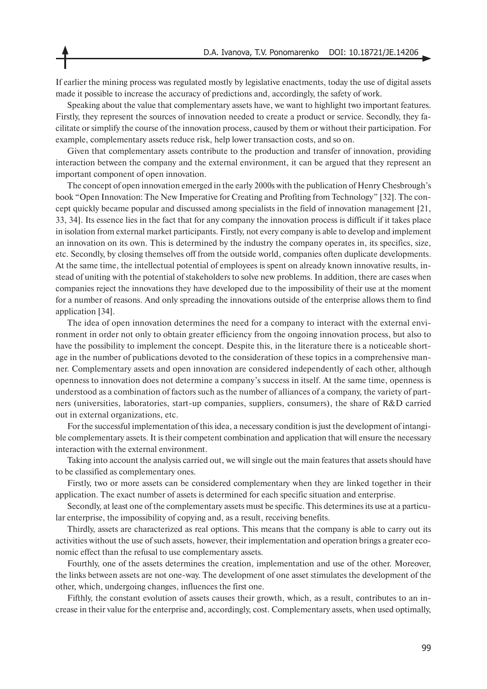If earlier the mining process was regulated mostly by legislative enactments, today the use of digital assets made it possible to increase the accuracy of predictions and, accordingly, the safety of work.

Speaking about the value that complementary assets have, we want to highlight two important features. Firstly, they represent the sources of innovation needed to create a product or service. Secondly, they facilitate or simplify the course of the innovation process, caused by them or without their participation. For example, complementary assets reduce risk, help lower transaction costs, and so on.

Given that complementary assets contribute to the production and transfer of innovation, providing interaction between the company and the external environment, it can be argued that they represent an important component of open innovation.

The concept of open innovation emerged in the early 2000s with the publication of Henry Chesbrough's book "Open Innovation: The New Imperative for Creating and Profiting from Technology" [32]. The concept quickly became popular and discussed among specialists in the field of innovation management [21, 33, 34]. Its essence lies in the fact that for any company the innovation process is difficult if it takes place in isolation from external market participants. Firstly, not every company is able to develop and implement an innovation on its own. This is determined by the industry the company operates in, its specifics, size, etc. Secondly, by closing themselves off from the outside world, companies often duplicate developments. At the same time, the intellectual potential of employees is spent on already known innovative results, instead of uniting with the potential of stakeholders to solve new problems. In addition, there are cases when companies reject the innovations they have developed due to the impossibility of their use at the moment for a number of reasons. And only spreading the innovations outside of the enterprise allows them to find application [34].

The idea of open innovation determines the need for a company to interact with the external environment in order not only to obtain greater efficiency from the ongoing innovation process, but also to have the possibility to implement the concept. Despite this, in the literature there is a noticeable shortage in the number of publications devoted to the consideration of these topics in a comprehensive manner. Complementary assets and open innovation are considered independently of each other, although openness to innovation does not determine a company's success in itself. At the same time, openness is understood as a combination of factors such as the number of alliances of a company, the variety of partners (universities, laboratories, start-up companies, suppliers, consumers), the share of R&D carried out in external organizations, etc.

For the successful implementation of this idea, a necessary condition is just the development of intangible complementary assets. It is their competent combination and application that will ensure the necessary interaction with the external environment.

Taking into account the analysis carried out, we will single out the main features that assets should have to be classified as complementary ones.

Firstly, two or more assets can be considered complementary when they are linked together in their application. The exact number of assets is determined for each specific situation and enterprise.

Secondly, at least one of the complementary assets must be specific. This determines its use at a particular enterprise, the impossibility of copying and, as a result, receiving benefits.

Thirdly, assets are characterized as real options. This means that the company is able to carry out its activities without the use of such assets, however, their implementation and operation brings a greater economic effect than the refusal to use complementary assets.

Fourthly, one of the assets determines the creation, implementation and use of the other. Moreover, the links between assets are not one-way. The development of one asset stimulates the development of the other, which, undergoing changes, influences the first one.

Fifthly, the constant evolution of assets causes their growth, which, as a result, contributes to an increase in their value for the enterprise and, accordingly, cost. Complementary assets, when used optimally,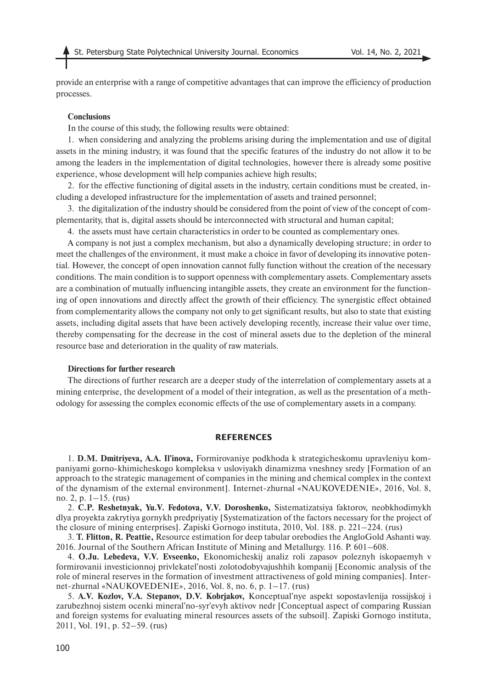provide an enterprise with a range of competitive advantages that can improve the efficiency of production processes.

### **Conclusions**

In the course of this study, the following results were obtained:

1. when considering and analyzing the problems arising during the implementation and use of digital assets in the mining industry, it was found that the specific features of the industry do not allow it to be among the leaders in the implementation of digital technologies, however there is already some positive experience, whose development will help companies achieve high results;

2. for the effective functioning of digital assets in the industry, certain conditions must be created, including a developed infrastructure for the implementation of assets and trained personnel;

3. the digitalization of the industry should be considered from the point of view of the concept of complementarity, that is, digital assets should be interconnected with structural and human capital;

4. the assets must have certain characteristics in order to be counted as complementary ones.

A company is not just a complex mechanism, but also a dynamically developing structure; in order to meet the challenges of the environment, it must make a choice in favor of developing its innovative potential. However, the concept of open innovation cannot fully function without the creation of the necessary conditions. The main condition is to support openness with complementary assets. Complementary assets are a combination of mutually influencing intangible assets, they create an environment for the functioning of open innovations and directly affect the growth of their efficiency. The synergistic effect obtained from complementarity allows the company not only to get significant results, but also to state that existing assets, including digital assets that have been actively developing recently, increase their value over time, thereby compensating for the decrease in the cost of mineral assets due to the depletion of the mineral resource base and deterioration in the quality of raw materials.

#### **Directions for further research**

The directions of further research are a deeper study of the interrelation of complementary assets at a mining enterprise, the development of a model of their integration, as well as the presentation of a methodology for assessing the complex economic effects of the use of complementary assets in a company.

#### **REFERENCES**

1. **D.M. Dmitriyeva, A.A. Il'inova,** Formirovaniye podkhoda k strategicheskomu upravleniyu kompaniyami gorno-khimicheskogo kompleksa v usloviyakh dinamizma vneshney sredy [Formation of an approach to the strategic management of companies in the mining and chemical complex in the context of the dynamism of the external environment]. Internet-zhurnal «NAUKOVEDENIE», 2016, Vol. 8, no. 2, p.  $1-15$ . (rus)

2. **C.P. Reshetnyak, Yu.V. Fedotova, V.V. Doroshenko,** Sistematizatsiya faktorov, neobkhodimykh dlya proyekta zakrytiya gornykh predpriyatiy [Systematization of the factors necessary for the project of the closure of mining enterprises]. Zapiski Gornogo instituta, 2010, Vol. 188. p. 221–224. (rus)

3. **T. Flitton, R. Peattie,** Resource estimation for deep tabular orebodies the AngloGold Ashanti way. 2016. Journal of the Southern African Institute of Mining and Metallurgy. 116. P. 601–608.

4. **O.Ju. Lebedeva, V.V. Evseenko,** Ekonomicheskij analiz roli zapasov poleznyh iskopaemyh v formirovanii investicionnoj privlekatel'nosti zolotodobyvajushhih kompanij [Economic analysis of the role of mineral reserves in the formation of investment attractiveness of gold mining companies]. Internet-zhurnal «NAUKOVEDENIE», 2016, Vol. 8, no. 6, p. 1–17. (rus)

5. **A.V. Kozlov, V.A. Stepanov, D.V. Kobrjakov,** Konceptual'nye aspekt sopostavlenija rossijskoj i zarubezhnoj sistem ocenki mineral'no-syr'evyh aktivov nedr [Conceptual aspect of comparing Russian and foreign systems for evaluating mineral resources assets of the subsoil]. Zapiski Gornogo instituta, 2011, Vol. 191, p. 52–59. (rus)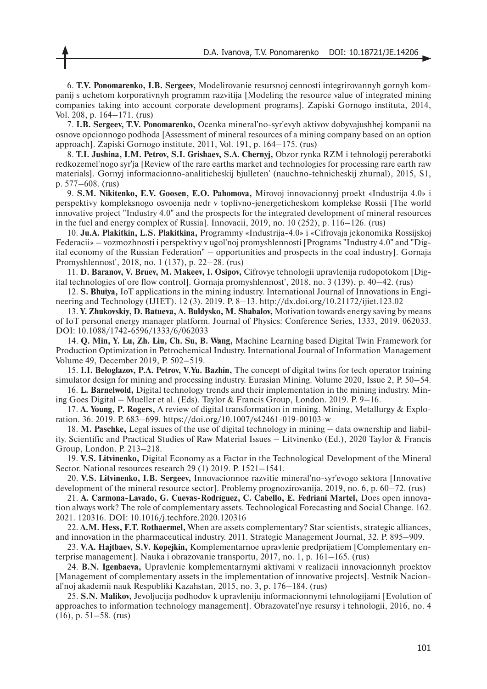6. **T.V. Ponomarenko, I.B. Sergeev,** Modelirovanie resursnoj cennosti integrirovannyh gornyh kompanij s uchetom korporativnyh programm razvitija [Modeling the resource value of integrated mining companies taking into account corporate development programs]. Zapiski Gornogo instituta, 2014, Vol. 208, p. 164–171. (rus)

7. **I.B. Sergeev, T.V. Ponomarenko,** Ocenka mineral'no-syr'evyh aktivov dobyvajushhej kompanii na osnove opcionnogo podhoda [Assessment of mineral resources of a mining company based on an option approach]. Zapiski Gornogo institute, 2011, Vol. 191, p. 164–175. (rus)

8. **T.I. Jushina, I.M. Petrov, S.I. Grishaev, S.A. Chernyj,** Obzor rynka RZM i tehnologij pererabotki redkozemel'nogo syr'ja [Review of the rare earths market and technologies for processing rare earth raw materials]. Gornyj informacionno-analiticheskij bjulleten' (nauchno-tehnicheskij zhurnal), 2015, S1, p. 577–608. (rus)

9. **S.M. Nikitenko, E.V. Goosen, E.O. Pahomova,** Mirovoj innovacionnyj proekt «Industrija 4.0» i perspektivy kompleksnogo osvoenija nedr v toplivno-jenergeticheskom komplekse Rossii [The world innovative project "Industry 4.0" and the prospects for the integrated development of mineral resources in the fuel and energy complex of Russia]. Innovacii, 2019, no. 10 (252), p. 116–126. (rus)

10. **Ju.A. Plakitkin, L.S. Plakitkina,** Programmy «Industrija-4.0» i «Cifrovaja jekonomika Rossijskoj Federacii» – vozmozhnosti i perspektivy v ugol'noj promyshlennosti [Programs "Industry 4.0" and "Digital economy of the Russian Federation" – opportunities and prospects in the coal industry]. Gornaja Promyshlennost', 2018, no. 1 (137), p. 22–28. (rus)

11. **D. Baranov, V. Bruev, M. Makeev, I. Osipov,** Cifrovye tehnologii upravlenija rudopotokom [Digital technologies of ore flow control]. Gornaja promyshlennost', 2018, no. 3 (139), p. 40–42. (rus)

12. **S. Bhuiya,** IoT applications in the mining industry. International Journal of Innovations in Engineering and Technology (IJIET). 12 (3). 2019. P. 8–13. http://dx.doi.org/10.21172/ijiet.123.02

13. **Y. Zhukovskiy, D. Batueva, A. Buldysko, M. Shabalov,** Motivation towards energy saving by means of IoT personal energy manager platform. Journal of Physics: Conference Series, 1333, 2019. 062033. DOI: 10.1088/1742-6596/1333/6/062033

14. **Q. Min, Y. Lu, Zh. Liu, Ch. Su, B. Wang,** Machine Learning based Digital Twin Framework for Production Optimization in Petrochemical Industry. International Journal of Information Management Volume 49, December 2019, P. 502–519.

15. **I.I. Beloglazov, P.A. Petrov, V.Yu. Bazhin,** The concept of digital twins for tech operator training simulator design for mining and processing industry. Eurasian Mining. Volume 2020, Issue 2, P. 50–54.

16. **L. Barnelwold,** Digital technology trends and their implementation in the mining industry. Mining Goes Digital – Mueller et al. (Eds). Taylor & Francis Group, London. 2019. P. 9–16.

17. **A. Young, P. Rogers,** A review of digital transformation in mining. Mining, Metallurgy & Exploration. 36. 2019. P. 683–699. https://doi.org/10.1007/s42461-019-00103-w

18. **M. Paschke,** Legal issues of the use of digital technology in mining – data ownership and liability. Scientific and Practical Studies of Raw Material Issues – Litvinenko (Ed.), 2020 Taylor & Francis Group, London. P. 213–218.

19. **V.S. Litvinenko,** Digital Economy as a Factor in the Technological Development of the Mineral Sector. National resources research 29 (1) 2019. P. 1521–1541.

20. **V.S. Litvinenko, I.B. Sergeev,** Innovacionnoe razvitie mineral'no-syr'evogo sektora [Innovative development of the mineral resource sector]. Problemy prognozirovanija, 2019, no. 6, p. 60–72. (rus)

21. **A. Carmona-Lavado, G. Cuevas-Rodríguez, C. Cabello, E. Fedriani Martel,** Does open innovation always work? The role of complementary assets. Technological Forecasting and Social Change. 162. 2021. 120316. DOI: 10.1016/j.techfore.2020.120316

22. **A.M. Hess, F.T. Rothaermel,** When are assets complementary? Star scientists, strategic alliances, and innovation in the pharmaceutical industry. 2011. Strategic Management Journal, 32. P. 895–909.

23. **V.A. Hajtbaev, S.V. Kopejkin,** Komplementarnoe upravlenie predprijatiem [Complementary enterprise management]. Nauka i obrazovanie transportu, 2017, no. 1, p. 161–165. (rus)

24. **B.N. Igenbaeva,** Upravlenie komplementarnymi aktivami v realizacii innovacionnyh proektov [Management of complementary assets in the implementation of innovative projects]. Vestnik Nacional'noj akademii nauk Respubliki Kazahstan, 2015, no. 3, p. 176–184. (rus)

25. **S.N. Malikov,** Jevoljucija podhodov k upravleniju informacionnymi tehnologijami [Evolution of approaches to information technology management]. Obrazovatel'nye resursy i tehnologii, 2016, no. 4 (16), p. 51–58. (rus)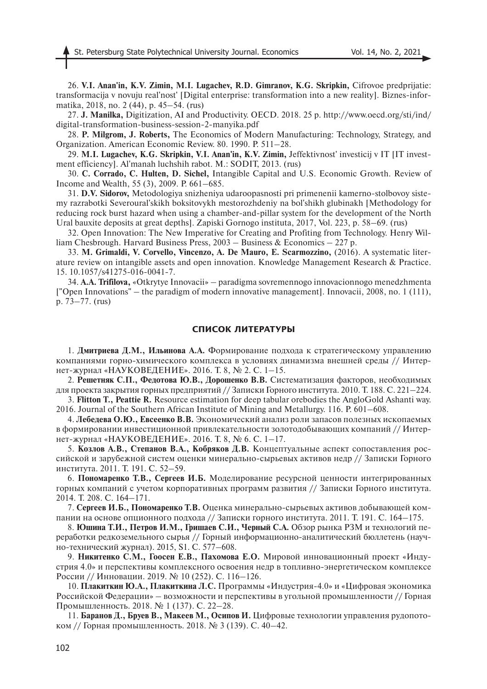26. **V.I. Anan'in, K.V. Zimin, M.I. Lugachev, R.D. Gimranov, K.G. Skripkin,** Cifrovoe predprijatie: transformacija v novuju real'nost' [Digital enterprise: transformation into a new reality]. Biznes-informatika, 2018, no. 2 (44), p. 45–54. (rus)

27. **J. Manilka,** Digitization, AI and Productivity. OECD. 2018. 25 p. http://www.oecd.org/sti/ind/ digital-transformation-business-session-2-manyika.pdf

28. **P. Milgrom, J. Roberts,** The Economics of Modern Manufacturing: Technology, Strategy, and Organization. American Economic Review. 80. 1990. P. 511–28.

29. **M.I. Lugachev, K.G. Skripkin, V.I. Anan'in, K.V. Zimin,** Jeffektivnost' investicij v IT [IT investment efficiency]. Al'manah luchshih rabot. M.: SODIT, 2013. (rus)

30. **C. Corrado, C. Hulten, D. Sichel,** Intangible Capital and U.S. Economic Growth. Review of Income and Wealth, 55 (3), 2009. P. 661–685.

31. **D.V. Sidorov,** Metodologiya snizheniya udaroopasnosti pri primenenii kamerno-stolbovoy sistemy razrabotki Severoural'skikh boksitovykh mestorozhdeniy na bol'shikh glubinakh [Methodology for reducing rock burst hazard when using a chamber-and-pillar system for the development of the North Ural bauxite deposits at great depths]. Zapiski Gornogo instituta, 2017, Vol. 223, p. 58–69. (rus)

32. Open Innovation: The New Imperative for Creating and Profiting from Technology. Henry William Chesbrough. Harvard Business Press, 2003 – Business & Economics – 227 p.

33. **M. Grimaldi, V. Corvello, Vincenzo, A. De Mauro, E. Scarmozzino,** (2016). A systematic literature review on intangible assets and open innovation. Knowledge Management Research & Practice. 15. 10.1057/s41275-016-0041-7.

34. **A.A. Trifilova,** «Otkrytye Innovacii» – paradigma sovremennogo innovacionnogo menedzhmenta ["Open Innovations" – the paradigm of modern innovative management]. Innovacii, 2008, no. 1 (111), p. 73–77. (rus)

## **СПИСОК ЛИТЕРАТУРЫ**

1. **Дмитриева Д.М., Ильинова А.А.** Формирование подхода к стратегическому управлению компаниями горно-химического комплекса в условиях динамизма внешней среды // Интернет-журнал «НАУКОВЕДЕНИЕ». 2016. Т. 8, № 2. C. 1–15.

2. **Решетняк C.П., Федотова Ю.В., Дорошенко В.В.** Систематизация факторов, необходимых для проекта закрытия горных предприятий // Записки Горного института. 2010. Т. 188. С. 221–224.

3. **Flitton T., Peattie R.** Resource estimation for deep tabular orebodies the AngloGold Ashanti way. 2016. Journal of the Southern African Institute of Mining and Metallurgy. 116. P. 601–608.

4. **Лебедева О.Ю., Евсеенко В.В.** Экономический анализ роли запасов полезных ископаемых в формировании инвестиционной привлекательности золотодобывающих компаний // Интернет-журнал «НАУКОВЕДЕНИЕ». 2016. Т. 8, № 6. С. 1–17.

5. **Козлов А.В., Степанов В.А., Кобряков Д.В.** Концептуальные аспект сопоставления российской и зарубежной систем оценки минерально-сырьевых активов недр // Записки Горного института. 2011. Т. 191. С. 52–59.

6. **Пономаренко Т.В., Сергеев И.Б.** Моделирование ресурсной ценности интегрированных горных компаний с учетом корпоративных программ развития // Записки Горного института. 2014. Т. 208. С. 164–171.

7. **Сергеев И.Б., Пономаренко Т.В.** Оценка минерально-сырьевых активов добывающей компании на основе опционного подхода // Записки горного института. 2011. Т. 191. С. 164–175.

8. **Юшина Т.И., Петров И.М., Гришаев С.И., Черный С.А.** Обзор рынка РЗМ и технологий переработки редкоземельного сырья // Горный информационно-аналитический бюллетень (научно-технический журнал). 2015, S1. С. 577–608.

9. **Никитенко С.М., Гоосен Е.В., Пахомова Е.О.** Мировой инновационный проект «Индустрия 4.0» и перспективы комплексного освоения недр в топливно-энергетическом комплексе России // Инновации. 2019. № 10 (252). С. 116–126.

10. **Плакиткин Ю.А., Плакиткина Л.С.** Программы «Индустрия-4.0» и «Цифровая экономика Российской Федерации» – возможности и перспективы в угольной промышленности // Горная Промышленность. 2018. № 1 (137). С. 22–28.

11. **Баранов Д., Бруев В., Макеев М., Осипов И.** Цифровые технологии управления рудопотоком // Горная промышленность. 2018. № 3 (139). С. 40–42.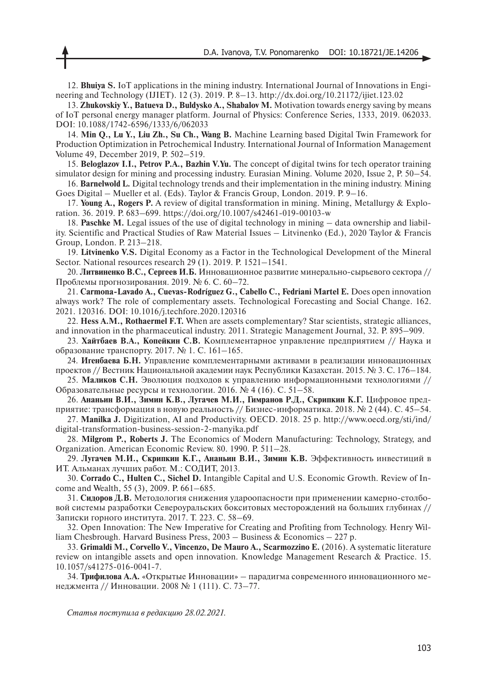12. **Bhuiya S.** IoT applications in the mining industry. International Journal of Innovations in Engineering and Technology (IJIET). 12 (3). 2019. P. 8–13. http://dx.doi.org/10.21172/ijiet.123.02

13. **Zhukovskiy Y., Batueva D., Buldysko A., Shabalov M.** Motivation towards energy saving by means of IoT personal energy manager platform. Journal of Physics: Conference Series, 1333, 2019. 062033. DOI: 10.1088/1742-6596/1333/6/062033

14. **Min Q., Lu Y., Liu Zh., Su Ch., Wang B.** Machine Learning based Digital Twin Framework for Production Optimization in Petrochemical Industry. International Journal of Information Management Volume 49, December 2019, P. 502–519.

15. **Beloglazov I.I., Petrov P.A., Bazhin V.Yu.** The concept of digital twins for tech operator training simulator design for mining and processing industry. Eurasian Mining. Volume 2020, Issue 2, P. 50–54.

16. **Barnelwold L.** Digital technology trends and their implementation in the mining industry. Mining Goes Digital – Mueller et al. (Eds). Taylor & Francis Group, London. 2019. P. 9–16.

17. **Young A., Rogers P.** A review of digital transformation in mining. Mining, Metallurgy & Exploration. 36. 2019. P. 683–699. https://doi.org/10.1007/s42461-019-00103-w

18. **Paschke M.** Legal issues of the use of digital technology in mining – data ownership and liability. Scientific and Practical Studies of Raw Material Issues – Litvinenko (Ed.), 2020 Taylor & Francis Group, London. P. 213–218.

19. **Litvinenko V.S.** Digital Economy as a Factor in the Technological Development of the Mineral Sector. National resources research 29 (1). 2019. P. 1521–1541.

20. **Литвиненко В.С., Сергеев И.Б.** Инновационное развитие минерально-сырьевого сектора // Проблемы прогнозирования. 2019. № 6. С. 60–72.

21. **Carmona-Lavado A., Cuevas-Rodríguez G., Cabello C., Fedriani Martel E.** Does open innovation always work? The role of complementary assets. Technological Forecasting and Social Change. 162. 2021. 120316. DOI: 10.1016/j.techfore.2020.120316

22. **Hess A.M., Rothaermel F.T.** When are assets complementary? Star scientists, strategic alliances, and innovation in the pharmaceutical industry. 2011. Strategic Management Journal, 32. P. 895–909.

23. **Хайтбаев В.А., Копейкин С.В.** Комплементарное управление предприятием // Наука и образование транспорту. 2017. № 1. С. 161–165.

24. **Игенбаева Б.Н.** Управление комплементарными активами в реализации инновационных проектов // Вестник Национальной академии наук Республики Казахстан. 2015. № 3. С. 176–184.

25. **Маликов С.Н.** Эволюция подходов к управлению информационными технологиями // Образовательные ресурсы и технологии. 2016. № 4 (16). С. 51–58.

26. **Ананьин В.И., Зимин К.В., Лугачев М.И., Гимранов Р.Д., Скрипкин К.Г.** Цифровое предприятие: трансформация в новую реальность // Бизнес-информатика. 2018. № 2 (44). С. 45–54.

27. **Manilka J.** Digitization, AI and Productivity. OECD. 2018. 25 p. http://www.oecd.org/sti/ind/ digital-transformation-business-session-2-manyika.pdf

28. **Milgrom P., Roberts J.** The Economics of Modern Manufacturing: Technology, Strategy, and Organization. American Economic Review. 80. 1990. P. 511–28.

29. **Лугачев М.И., Скрипкин К.Г., Ананьин В.И., Зимин К.В.** Эффективность инвестиций в ИТ. Альманах лучших работ. М.: СОДИТ, 2013.

30. **Corrado C., Hulten C., Sichel D.** Intangible Capital and U.S. Economic Growth. Review of Income and Wealth, 55 (3), 2009. P. 661–685.

31. **Сидоров Д.В.** Методология снижения удароопасности при применении камерно-столбовой системы разработки Североуральских бокситовых месторождений на больших глубинах // Записки горного института. 2017. Т. 223. С. 58–69.

32. Open Innovation: The New Imperative for Creating and Profiting from Technology. Henry William Chesbrough. Harvard Business Press, 2003 – Business & Economics – 227 p.

33. **Grimaldi M., Corvello V., Vincenzo, De Mauro A., Scarmozzino E.** (2016). A systematic literature review on intangible assets and open innovation. Knowledge Management Research & Practice. 15. 10.1057/s41275-016-0041-7.

34. **Трифилова А.А.** «Открытые Инновации» – парадигма современного инновационного менеджмента // Инновации. 2008 № 1 (111). С. 73–77.

*Статья поступила в редакцию 28.02.2021.*